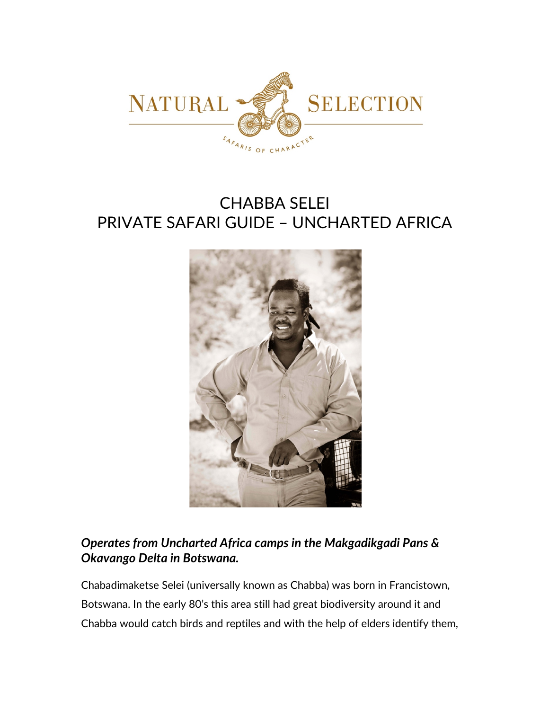

# CHABBA SELEI PRIVATE SAFARI GUIDE – UNCHARTED AFRICA



## *Operates from Uncharted Africa camps in the Makgadikgadi Pans & Okavango Delta in Botswana.*

Chabadimaketse Selei (universally known as Chabba) was born in Francistown, Botswana. In the early 80's this area still had great biodiversity around it and Chabba would catch birds and reptiles and with the help of elders identify them,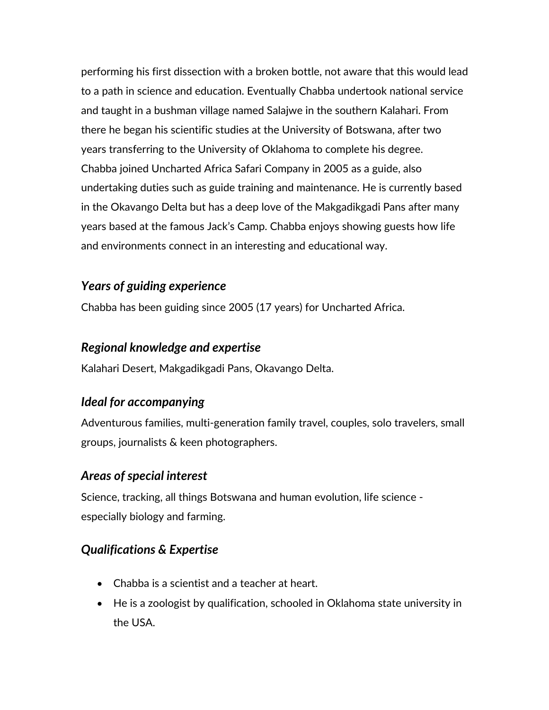performing his first dissection with a broken bottle, not aware that this would lead to a path in science and education. Eventually Chabba undertook national service and taught in a bushman village named Salajwe in the southern Kalahari. From there he began his scientific studies at the University of Botswana, after two years transferring to the University of Oklahoma to complete his degree. Chabba joined Uncharted Africa Safari Company in 2005 as a guide, also undertaking duties such as guide training and maintenance. He is currently based in the Okavango Delta but has a deep love of the Makgadikgadi Pans after many years based at the famous Jack's Camp. Chabba enjoys showing guests how life and environments connect in an interesting and educational way.

### *Years of guiding experience*

Chabba has been guiding since 2005 (17 years) for Uncharted Africa.

#### *Regional knowledge and expertise*

Kalahari Desert, Makgadikgadi Pans, Okavango Delta.

## *Ideal for accompanying*

Adventurous families, multi-generation family travel, couples, solo travelers, small groups, journalists & keen photographers.

#### *Areas of special interest*

Science, tracking, all things Botswana and human evolution, life science especially biology and farming.

## *Qualifications & Expertise*

- Chabba is a scientist and a teacher at heart.
- He is a zoologist by qualification, schooled in Oklahoma state university in the USA.